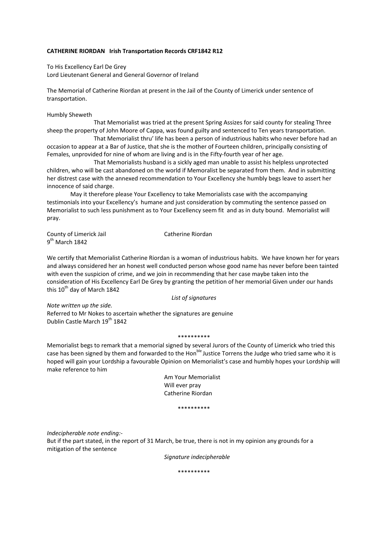## **CATHERINE RIORDAN Irish Transportation Records CRF1842 R12**

To His Excellency Earl De Grey Lord Lieutenant General and General Governor of Ireland

The Memorial of Catherine Riordan at present in the Jail of the County of Limerick under sentence of transportation.

Humbly Sheweth

 That Memorialist was tried at the present Spring Assizes for said county for stealing Three sheep the property of John Moore of Cappa, was found guilty and sentenced to Ten years transportation.

 That Memorialist thru' life has been a person of industrious habits who never before had an occasion to appear at a Bar of Justice, that she is the mother of Fourteen children, principally consisting of Females, unprovided for nine of whom are living and is in the Fifty-fourth year of her age.

 That Memorialists husband is a sickly aged man unable to assist his helpless unprotected children, who will be cast abandoned on the world if Memoralist be separated from them. And in submitting her distrest case with the annexed recommendation to Your Excellency she humbly begs leave to assert her innocence of said charge.

May it therefore please Your Excellency to take Memorialists case with the accompanying testimonials into your Excellency's humane and just consideration by commuting the sentence passed on Memorialist to such less punishment as to Your Excellency seem fit and as in duty bound. Memorialist will pray.

County of Limerick Jail **Catherine Riordan**  $9<sup>th</sup>$  March 1842

We certify that Memorialist Catherine Riordan is a woman of industrious habits. We have known her for years and always considered her an honest well conducted person whose good name has never before been tainted with even the suspicion of crime, and we join in recommending that her case maybe taken into the consideration of His Excellency Earl De Grey by granting the petition of her memorial Given under our hands this  $10^{th}$  day of March 1842

*List of signatures*

*Note written up the side.* Referred to Mr Nokes to ascertain whether the signatures are genuine Dublin Castle March 19<sup>th</sup> 1842

\*\*\*\*\*\*\*\*\*\*

Memorialist begs to remark that a memorial signed by several Jurors of the County of Limerick who tried this case has been signed by them and forwarded to the Hon<sup>ble</sup> Justice Torrens the Judge who tried same who it is hoped will gain your Lordship a favourable Opinion on Memorialist's case and humbly hopes your Lordship will make reference to him

> Am Your Memorialist Will ever pray Catherine Riordan

> > \*\*\*\*\*\*\*\*\*\*

*Indecipherable note ending:‐* 

But if the part stated, in the report of 31 March, be true, there is not in my opinion any grounds for a mitigation of the sentence

*Signature indecipherable*

\*\*\*\*\*\*\*\*\*\*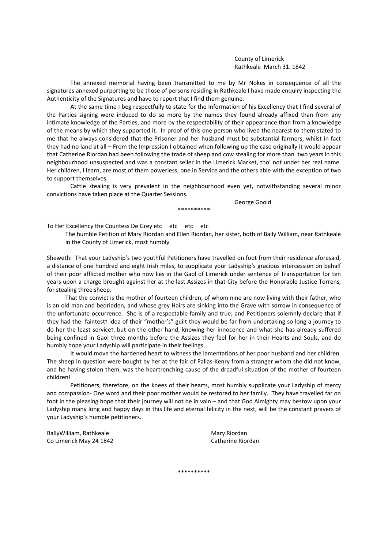County of Limerick Rathkeale March 31. 1842

The annexed memorial having been transmitted to me by Mr Nokes in consequence of all the signatures annexed purporting to be those of persons residing in Rathkeale I have made enquiry inspecting the Authenticity of the Signatures and have to report that I find them genuine.

At the same time I beg respectfully to state for the Information of his Excellency that I find several of the Parties signing were induced to do so more by the names they found already affixed than from any intimate knowledge of the Parties, and more by the respectability of their appearance than from a knowledge of the means by which they supported it. In proof of this one person who lived the nearest to them stated to me that he always considered that the Prisoner and her husband must be substantial farmers, whilst in fact they had no land at all – From the Impression I obtained when following up the case originally it would appear that Catherine Riordan had been following the trade of sheep and cow stealing for more than two years in this neighbourhood unsuspected and was a constant seller in the Limerick Market, tho' not under her real name. Her children, I learn, are most of them powerless, one in Service and the others able with the exception of two to support themselves.

Cattle stealing is very prevalent in the neighbourhood even yet, notwithstanding several minor convictions have taken place at the Quarter Sessions.

\*\*\*\*\*\*\*\*\*\*

George Goold

To Her Excellency the Countess De Grey etc etc etc etc

The humble Petition of Mary Riordan and Ellen Riordan, her sister, both of Bally William, near Rathkeale in the County of Limerick, most humbly

Sheweth: That your Ladyship's two youthful Petitioners have travelled on foot from their residence aforesaid, a distance of one hundred and eight Irish miles, to supplicate your Ladyship's gracious intercession on behalf of their poor afflicted mother who now lies in the Gaol of Limerick under sentence of Transportation for ten years upon a charge brought against her at the last Assizes in that City before the Honorable Justice Torrens, for stealing three sheep.

That the convict is the mother of fourteen children, of whom nine are now living with their father, who is an old man and bedridden, and whose grey Hairs are sinking into the Grave with sorrow in consequence of the unfortunate occurrence. She is of a respectable family and true; and Petitioners solemnly declare that if they had the faintest? idea of their "mother's" guilt they would be far from undertaking so long a journey to do her the least service?, but on the other hand, knowing her innocence and what she has already suffered being confined in Gaol three months before the Assizes they feel for her in their Hearts and Souls, and do humbly hope your Ladyship will participate in their feelings.

It would move the hardened heart to witness the lamentations of her poor husband and her children. The sheep in question were bought by her at the fair of Pallas-Kenry from a stranger whom she did not know, and he having stolen them, was the heartrenching cause of the dreadful situation of the mother of fourteen children!

Petitioners, therefore, on the knees of their hearts, most humbly supplicate your Ladyship of mercy and compassion‐ One word and their poor mother would be restored to her family. They have travelled far on foot in the pleasing hope that their journey will not be in vain – and that God Almighty may bestow upon your Ladyship many long and happy days in this life and eternal felicity in the next, will be the constant prayers of your Ladyship's humble petitioners.

BallyWilliam, Rathkeale **BallyWilliam, Rathkeale 1996** Co Limerick May 24 1842 Catherine Riordan

\*\*\*\*\*\*\*\*\*\*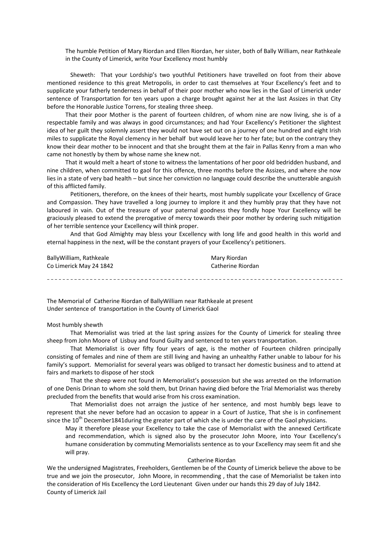The humble Petition of Mary Riordan and Ellen Riordan, her sister, both of Bally William, near Rathkeale in the County of Limerick, write Your Excellency most humbly

Sheweth: That your Lordship's two youthful Petitioners have travelled on foot from their above mentioned residence to this great Metropolis, in order to cast themselves at Your Excellency's feet and to supplicate your fatherly tenderness in behalf of their poor mother who now lies in the Gaol of Limerick under sentence of Transportation for ten years upon a charge brought against her at the last Assizes in that City before the Honorable Justice Torrens, for stealing three sheep.

That their poor Mother is the parent of fourteen children, of whom nine are now living, she is of a respectable family and was always in good circumstances; and had Your Excellency's Petitioner the slightest idea of her guilt they solemnly assert they would not have set out on a journey of one hundred and eight Irish miles to supplicate the Royal clemency in her behalf but would leave her to her fate; but on the contrary they know their dear mother to be innocent and that she brought them at the fair in Pallas Kenry from a man who came not honestly by them by whose name she knew not.

That it would melt a heart of stone to witness the lamentations of her poor old bedridden husband, and nine children, when committed to gaol for this offence, three months before the Assizes, and where she now lies in a state of very bad health – but since her conviction no language could describe the unutterable anguish of this afflicted family.

Petitioners, therefore, on the knees of their hearts, most humbly supplicate your Excellency of Grace and Compassion. They have travelled a long journey to implore it and they humbly pray that they have not laboured in vain. Out of the treasure of your paternal goodness they fondly hope Your Excellency will be graciously pleased to extend the prerogative of mercy towards their poor mother by ordering such mitigation of her terrible sentence your Excellency will think proper.

And that God Almighty may bless your Excellency with long life and good health in this world and eternal happiness in the next, will be the constant prayers of your Excellency's petitioners.

| Bally William, Rathkeale | Mary Riordan      |
|--------------------------|-------------------|
| Co Limerick May 24 1842  | Catherine Riordan |
|                          |                   |
|                          |                   |

The Memorial of Catherine Riordan of BallyWilliam near Rathkeale at present Under sentence of transportation in the County of Limerick Gaol

## Most humbly shewth

That Memorialist was tried at the last spring assizes for the County of Limerick for stealing three sheep from John Moore of Lisbuy and found Guilty and sentenced to ten years transportation.

That Memorialist is over fifty four years of age, is the mother of Fourteen children principally consisting of females and nine of them are still living and having an unhealthy Father unable to labour for his family's support. Memorialist for several years was obliged to transact her domestic business and to attend at fairs and markets to dispose of her stock

That the sheep were not found in Memorialist's possession but she was arrested on the Information of one Denis Drinan to whom she sold them, but Drinan having died before the Trial Memorialist was thereby precluded from the benefits that would arise from his cross examination.

That Memorialist does not arraign the justice of her sentence, and most humbly begs leave to represent that she never before had an occasion to appear in a Court of Justice, That she is in confinement since the  $10^{th}$  December1841during the greater part of which she is under the care of the Gaol physicians.

May it therefore please your Excellency to take the case of Memorialist with the annexed Certificate and recommendation, which is signed also by the prosecutor John Moore, into Your Excellency's humane consideration by commuting Memorialists sentence as to your Excellency may seem fit and she will pray.

#### Catherine Riordan

We the undersigned Magistrates, Freeholders, Gentlemen be of the County of Limerick believe the above to be true and we join the prosecutor, John Moore, in recommending , that the case of Memorialist be taken into the consideration of His Excellency the Lord Lieutenant Given under our hands this 29 day of July 1842. County of Limerick Jail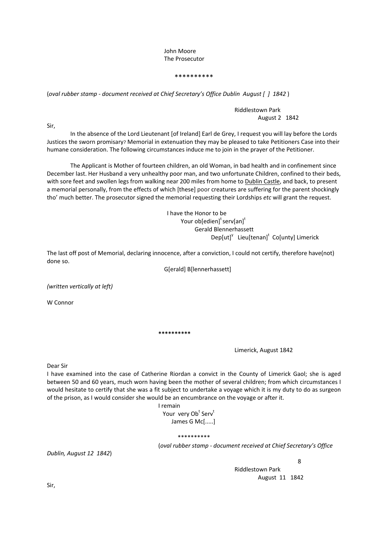# John Moore The Prosecutor

### \*\*\*\*\*\*\*\*\*\*

(*oval rubber stamp ‐ document received at Chief Secretary's Office Dublin August [ ] 1842* )

# Riddlestown Park August 2 1842

Sir,

In the absence of the Lord Lieutenant [of Ireland] Earl de Grey, I request you will lay before the Lords Justices the sworn promisary? Memorial in extenuation they may be pleased to take Petitioners Case into their humane consideration. The following circumstances induce me to join in the prayer of the Petitioner.

The Applicant is Mother of fourteen children, an old Woman, in bad health and in confinement since December last. Her Husband a very unhealthy poor man, and two unfortunate Children, confined to their beds, with sore feet and swollen legs from walking near 200 miles from home to **Dublin Castle**, and back, to present a memorial personally, from the effects of which [these] poor creatures are suffering for the parent shockingly tho' much better. The prosecutor signed the memorial requesting their Lordships *etc* will grant the request.

 I have the Honor to be Your ob[edien]<sup>t</sup> serv[an]<sup>t</sup> Gerald Blennerhassett  $\mathsf{Dep}\left[\mathsf{ut}\right]^\mathsf{V}$  Lieu $\left[\mathsf{tenan}\right]^\mathsf{t}$  Co $\left[\mathsf{unty}\right]$  Limerick

The last off post of Memorial, declaring innocence, after a conviction, I could not certify, therefore have(not) done so.

G[erald] B[lennerhassett]

*(written vertically at left)*

W Connor

**\*\*\*\*\*\*\*\*\*\*** 

 Limerick, August 1842

Dear Sir

I have examined into the case of Catherine Riordan a convict in the County of Limerick Gaol; she is aged between 50 and 60 years, much worn having been the mother of several children; from which circumstances I would hesitate to certify that she was a fit subject to undertake a voyage which it is my duty to do as surgeon of the prison, as I would consider she would be an encumbrance on the voyage or after it.

I remain

Your very Ob<sup>t</sup> Serv<sup>t</sup> James G Mc[.....]

\*\*\*\*\*\*\*\*\*\*

(*oval rubber stamp ‐ document received at Chief Secretary's Office*

*Dublin, August 12 1842*)

en andere de la provincia de la provincia de la provincia de la provincia de la provincia de la provincia del<br>En la provincia de la provincia de la provincia de la provincia de la provincia de la provincia de la provinci Riddlestown Park August 11 1842

Sir,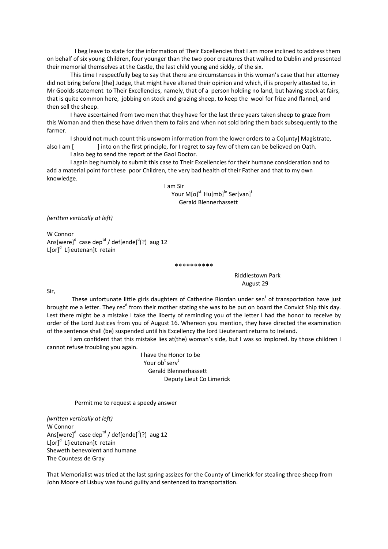I beg leave to state for the information of Their Excellencies that I am more inclined to address them on behalf of six young Children, four younger than the two poor creatures that walked to Dublin and presented their memorial themselves at the Castle, the last child young and sickly, of the six.

This time I respectfully beg to say that there are circumstances in this woman's case that her attorney did not bring before [the] Judge, that might have altered their opinion and which, if is properly attested to, in Mr Goolds statement to Their Excellencies, namely, that of a person holding no land, but having stock at fairs, that is quite common here, jobbing on stock and grazing sheep, to keep the wool for frize and flannel, and then sell the sheep.

I have ascertained from two men that they have for the last three years taken sheep to graze from this Woman and then these have driven them to fairs and when not sold bring them back subsequently to the farmer.

I should not much count this unsworn information from the lower orders to a Co[unty] Magistrate, also I am [  $\parallel$  into on the first principle, for I regret to say few of them can be believed on Oath.

I also beg to send the report of the Gaol Doctor.

I again beg humbly to submit this case to Their Excellencies for their humane consideration and to add a material point for these poor Children, the very bad health of their Father and that to my own knowledge.

> I am Sir Your  $M[0]^{st}$  Hu $[mb]^{le}$  Ser[van]<sup>t</sup> Gerald Blennerhassett

*(written vertically at left)*

W Connor Ans[were]<sup>d</sup> case dep<sup>td</sup> / def[ende]<sup>d</sup>(?) aug 12 L[or]<sup>d</sup> L[ieutenan]t retain

 Riddlestown Park August 29

Sir,

These unfortunate little girls daughters of Catherine Riordan under sen<sup>t</sup> of transportation have just brought me a letter. They rec<sup>d</sup> from their mother stating she was to be put on board the Convict Ship this day. Lest there might be a mistake I take the liberty of reminding you of the letter I had the honor to receive by order of the Lord Justices from you of August 16. Whereon you mention, they have directed the examination of the sentence shall (be) suspended until his Excellency the lord Lieutenant returns to Ireland.

\*\*\*\*\*\*\*\*\*\*

I am confident that this mistake lies at(the) woman's side, but I was so implored. by those children I cannot refuse troubling you again.

I have the Honor to be  $\bm{\mathsf{Your}}\ \bm{\mathsf{ob}}^\text{t}\ \bm{\mathsf{serv}}^\text{t}$  Gerald Blennerhassett Deputy Lieut Co Limerick

Permit me to request a speedy answer

*(written vertically at left)* W Connor Ans[were]<sup>d</sup> case dep<sup>td</sup> / def[ende]<sup>d</sup>(?) aug 12 L[or]<sup>d</sup> L[ieutenan]t retain Sheweth benevolent and humane The Countess de Gray

That Memorialist was tried at the last spring assizes for the County of Limerick for stealing three sheep from John Moore of Lisbuy was found guilty and sentenced to transportation.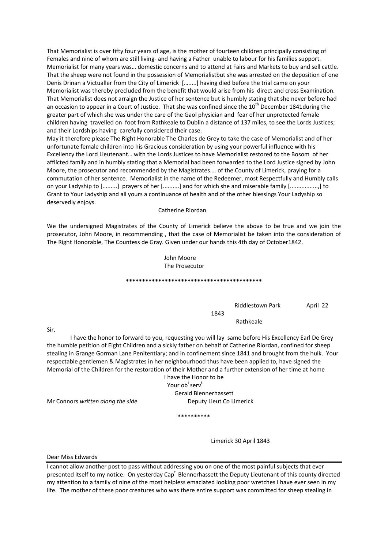That Memorialist is over fifty four years of age, is the mother of fourteen children principally consisting of Females and nine of whom are still living- and having a Father unable to labour for his families support. Memorialist for many years was… domestic concerns and to attend at Fairs and Markets to buy and sell cattle. That the sheep were not found in the possession of Memorialistbut she was arrested on the deposition of one Denis Drinan a Victualler from the City of Limerick [….....] having died before the trial came on your Memorialist was thereby precluded from the benefit that would arise from his direct and cross Examination. That Memorialist does not arraign the Justice of her sentence but is humbly stating that she never before had an occasion to appear in a Court of Justice. That she was confined since the 10<sup>th</sup> December 1841during the greater part of which she was under the care of the Gaol physician and fear of her unprotected female children having travelled on foot from Rathkeale to Dublin a distance of 137 miles, to see the Lords Justices; and their Lordships having carefully considered their case.

May it therefore please The Right Honorable The Charles de Grey to take the case of Memorialist and of her unfortunate female children into his Gracious consideration by using your powerful influence with his Excellency the Lord Lieutenant… with the Lords Justices to have Memorialist restored to the Bosom of her afflicted family and in humbly stating that a Memorial had been forwarded to the Lord Justice signed by John Moore, the prosecutor and recommended by the Magistrates…. of the County of Limerick, praying for a commutation of her sentence. Memorialist in the name of the Redeemer, most Respectfully and Humbly calls on your Ladyship to [.........] prayers of her [..........] and for which she and miserable family [.................,] to Grant to Your Ladyship and all yours a continuance of health and of the other blessings Your Ladyship so deservedly enjoys.

Catherine Riordan

We the undersigned Magistrates of the County of Limerick believe the above to be true and we join the prosecutor, John Moore, in recommending , that the case of Memorialist be taken into the consideration of The Right Honorable, The Countess de Gray. Given under our hands this 4th day of October1842.

> John Moore The Prosecutor

#### **\*\*\*\*\*\*\*\*\*\*\*\*\*\*\*\*\*\*\*\*\*\*\*\*\*\*\*\*\*\*\*\*\*\*\*\*\*\*\*\*\*\***

Riddlestown Park April 22

Rathkeale

I have the honor to forward to you, requesting you will lay same before His Excellency Earl De Grey the humble petition of Eight Children and a sickly father on behalf of Catherine Riordan, confined for sheep stealing in Grange Gorman Lane Penitentiary; and in confinement since 1841 and brought from the hulk. Your respectable gentlemen & Magistrates in her neighbourhood thus have been applied to, have signed the Memorial of the Children for the restoration of their Mother and a further extension of her time at home

I have the Honor to be erved to the service of the service  $\mathsf{Your}{}$  ob<sup>t</sup> serv<sup>t</sup> Gerald Blennerhassett

1843

Mr Connors *written along the side* Deputy Lieut Co Limerick

\*\*\*\*\*\*\*\*\*\*

Limerick 30 April 1843

Dear Miss Edwards

Sir,

I cannot allow another post to pass without addressing you on one of the most painful subjects that ever presented itself to my notice. On yesterday Cap<sup>t</sup> Blennerhassett the Deputy Lieutenant of this county directed my attention to a family of nine of the most helpless emaciated looking poor wretches I have ever seen in my life. The mother of these poor creatures who was there entire support was committed for sheep stealing in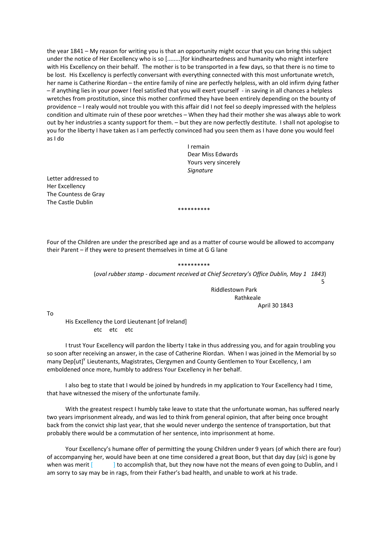the year 1841 – My reason for writing you is that an opportunity might occur that you can bring this subject under the notice of Her Excellency who is so [........]for kindheartedness and humanity who might interfere with His Excellency on their behalf. The mother is to be transported in a few days, so that there is no time to be lost. His Excellency is perfectly conversant with everything connected with this most unfortunate wretch, her name is Catherine Riordan – the entire family of nine are perfectly helpless, with an old infirm dying father – if anything lies in your power I feel satisfied that you will exert yourself ‐ in saving in all chances a helpless wretches from prostitution, since this mother confirmed they have been entirely depending on the bounty of providence – I realy would not trouble you with this affair did I not feel so deeply impressed with the helpless condition and ultimate ruin of these poor wretches – When they had their mother she was always able to work out by her industries a scanty support for them. – but they are now perfectly destitute. I shall not apologise to you for the liberty I have taken as I am perfectly convinced had you seen them as I have done you would feel as I do

 I remain Dear Miss Edwards Yours very sincerely **Signature Signature** 

Letter addressed to Her Excellency The Countess de Gray The Castle Dublin

Four of the Children are under the prescribed age and as a matter of course would be allowed to accompany their Parent – if they were to present themselves in time at G G lane

\*\*\*\*\*\*\*\*\*\*

\*\*\*\*\*\*\*\*\*\* (*oval rubber stamp ‐ document received at Chief Secretary's Office Dublin, May 1 1843*) the contract of the contract of the contract of the contract of the contract of the contract of the contract o

 Riddlestown Park Rathkeale April 30 1843

To

His Excellency the Lord Lieutenant [of Ireland] etc etc etc

I trust Your Excellency will pardon the liberty I take in thus addressing you, and for again troubling you so soon after receiving an answer, in the case of Catherine Riordan. When I was joined in the Memorial by so many Dep[ut]<sup>Y</sup> Lieutenants, Magistrates, Clergymen and County Gentlemen to Your Excellency, I am emboldened once more, humbly to address Your Excellency in her behalf.

I also beg to state that I would be joined by hundreds in my application to Your Excellency had I time, that have witnessed the misery of the unfortunate family.

With the greatest respect I humbly take leave to state that the unfortunate woman, has suffered nearly two years imprisonment already, and was led to think from general opinion, that after being once brought back from the convict ship last year, that she would never undergo the sentence of transportation, but that probably there would be a commutation of her sentence, into imprisonment at home.

Your Excellency's humane offer of permitting the young Children under 9 years (of which there are four) of accompanying her, would have been at one time considered a great Boon, but that day day (*sic*) is gone by when was merit [  $\qquad$  ] to accomplish that, but they now have not the means of even going to Dublin, and I am sorry to say may be in rags, from their Father's bad health, and unable to work at his trade.